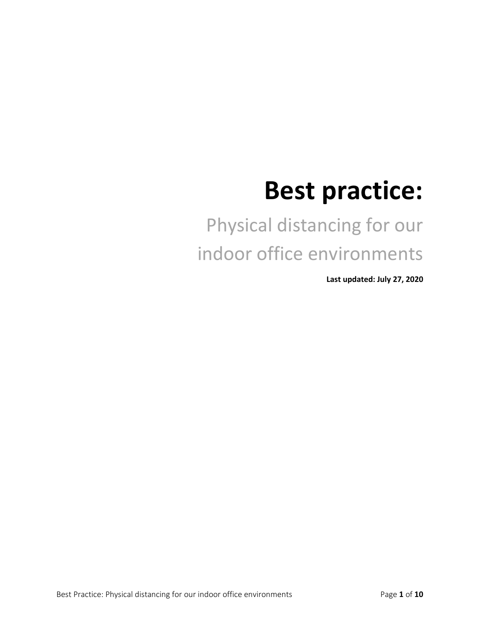# **Best practice:**

## Physical distancing for our indoor office environments

**Last updated: July 27, 2020**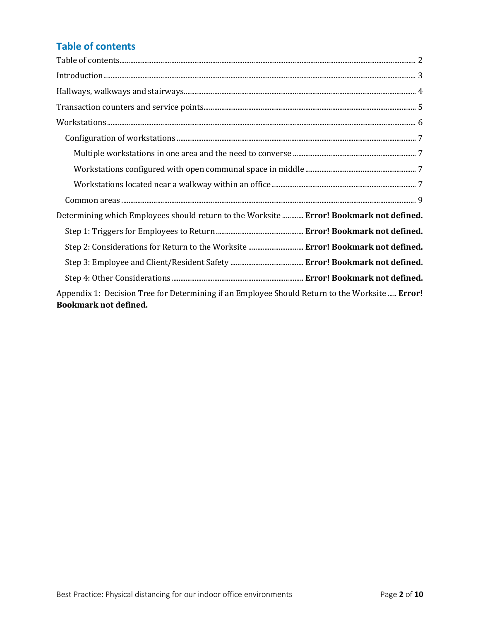## **Table of contents**

| Determining which Employees should return to the Worksite  Error! Bookmark not defined.                                        |
|--------------------------------------------------------------------------------------------------------------------------------|
|                                                                                                                                |
| Step 2: Considerations for Return to the Worksite  Error! Bookmark not defined.                                                |
|                                                                                                                                |
|                                                                                                                                |
| Appendix 1: Decision Tree for Determining if an Employee Should Return to the Worksite  Error!<br><b>Bookmark not defined.</b> |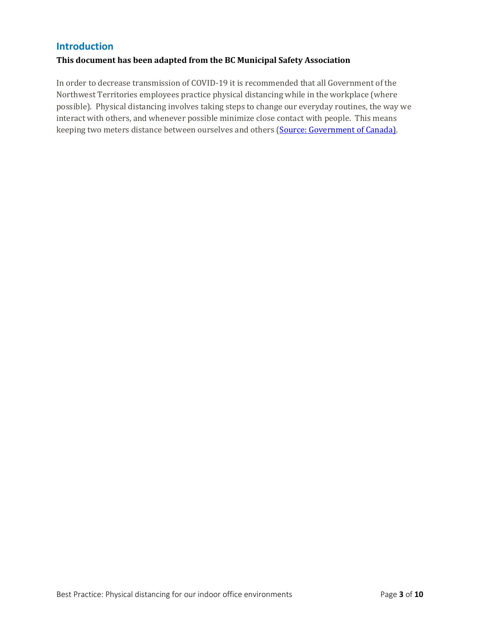#### **Introduction**

#### **This document has been adapted from the BC Municipal Safety Association**

In order to decrease transmission of COVID-19 it is recommended that all Government of the Northwest Territories employees practice physical distancing while in the workplace (where possible). Physical distancing involves taking steps to change our everyday routines, the way we interact with others, and whenever possible minimize close contact with people. This means keeping two meters distance between ourselves and others (Source: Government of Canada).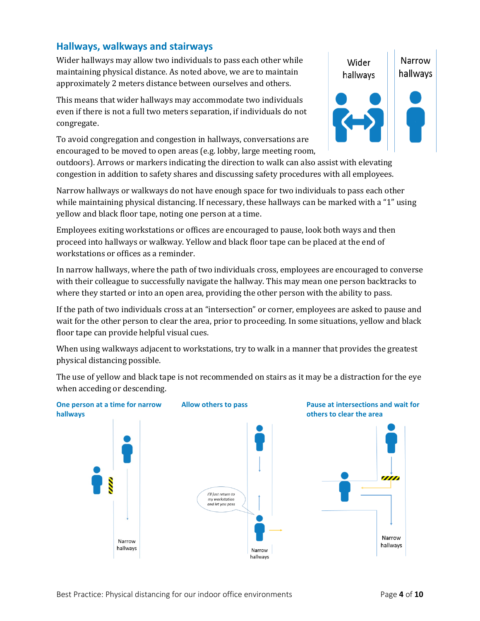#### **Hallways, walkways and stairways**

Wider hallways may allow two individuals to pass each other while maintaining physical distance. As noted above, we are to maintain approximately 2 meters distance between ourselves and others.

This means that wider hallways may accommodate two individuals even if there is not a full two meters separation, if individuals do not congregate.

To avoid congregation and congestion in hallways, conversations are encouraged to be moved to open areas (e.g. lobby, large meeting room,

outdoors). Arrows or markers indicating the direction to walk can also assist with elevating congestion in addition to safety shares and discussing safety procedures with all employees.

Narrow hallways or walkways do not have enough space for two individuals to pass each other while maintaining physical distancing. If necessary, these hallways can be marked with a "1" using yellow and black floor tape, noting one person at a time.

Employees exiting workstations or offices are encouraged to pause, look both ways and then proceed into hallways or walkway. Yellow and black floor tape can be placed at the end of workstations or offices as a reminder.

In narrow hallways, where the path of two individuals cross, employees are encouraged to converse with their colleague to successfully navigate the hallway. This may mean one person backtracks to where they started or into an open area, providing the other person with the ability to pass.

If the path of two individuals cross at an "intersection" or corner, employees are asked to pause and wait for the other person to clear the area, prior to proceeding. In some situations, yellow and black floor tape can provide helpful visual cues.

When using walkways adjacent to workstations, try to walk in a manner that provides the greatest physical distancing possible.

The use of yellow and black tape is not recommended on stairs as it may be a distraction for the eye when acceding or descending.



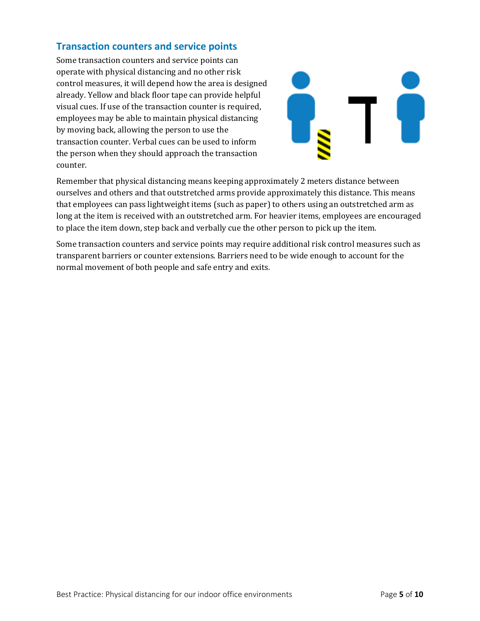#### **Transaction counters and service points**

Some transaction counters and service points can operate with physical distancing and no other risk control measures, it will depend how the area is designed already. Yellow and black floor tape can provide helpful visual cues. If use of the transaction counter is required, employees may be able to maintain physical distancing by moving back, allowing the person to use the transaction counter. Verbal cues can be used to inform the person when they should approach the transaction counter.



Remember that physical distancing means keeping approximately 2 meters distance between ourselves and others and that outstretched arms provide approximately this distance. This means that employees can pass lightweight items (such as paper) to others using an outstretched arm as long at the item is received with an outstretched arm. For heavier items, employees are encouraged to place the item down, step back and verbally cue the other person to pick up the item.

Some transaction counters and service points may require additional risk control measures such as transparent barriers or counter extensions. Barriers need to be wide enough to account for the normal movement of both people and safe entry and exits.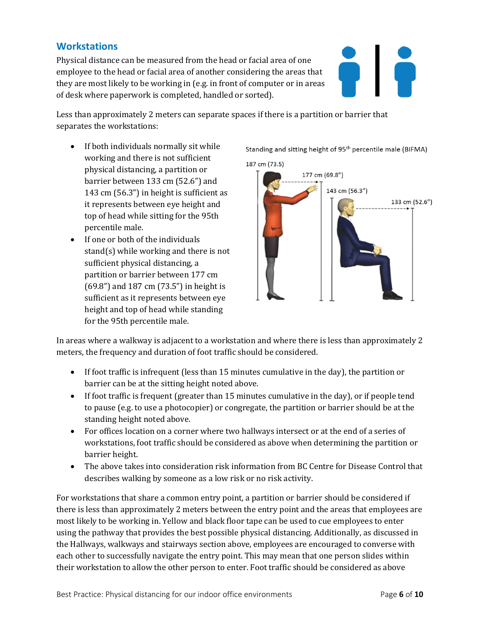#### **Workstations**

Physical distance can be measured from the head or facial area of one employee to the head or facial area of another considering the areas that they are most likely to be working in (e.g. in front of computer or in areas of desk where paperwork is completed, handled or sorted).



Less than approximately 2 meters can separate spaces if there is a partition or barrier that separates the workstations:

- If both individuals normally sit while working and there is not sufficient physical distancing, a partition or barrier between 133 cm (52.6") and 143 cm (56.3") in height is sufficient as it represents between eye height and top of head while sitting for the 95th percentile male.
- If one or both of the individuals stand(s) while working and there is not sufficient physical distancing, a partition or barrier between 177 cm (69.8") and 187 cm (73.5") in height is sufficient as it represents between eye height and top of head while standing for the 95th percentile male.

Standing and sitting height of 95<sup>th</sup> percentile male (BIFMA)



In areas where a walkway is adjacent to a workstation and where there is less than approximately 2 meters, the frequency and duration of foot traffic should be considered.

- If foot traffic is infrequent (less than 15 minutes cumulative in the day), the partition or barrier can be at the sitting height noted above.
- If foot traffic is frequent (greater than 15 minutes cumulative in the day), or if people tend to pause (e.g. to use a photocopier) or congregate, the partition or barrier should be at the standing height noted above.
- For offices location on a corner where two hallways intersect or at the end of a series of workstations, foot traffic should be considered as above when determining the partition or barrier height.
- The above takes into consideration risk information from BC Centre for Disease Control that describes walking by someone as a low risk or no risk activity.

For workstations that share a common entry point, a partition or barrier should be considered if there is less than approximately 2 meters between the entry point and the areas that employees are most likely to be working in. Yellow and black floor tape can be used to cue employees to enter using the pathway that provides the best possible physical distancing. Additionally, as discussed in the Hallways, walkways and stairways section above, employees are encouraged to converse with each other to successfully navigate the entry point. This may mean that one person slides within their workstation to allow the other person to enter. Foot traffic should be considered as above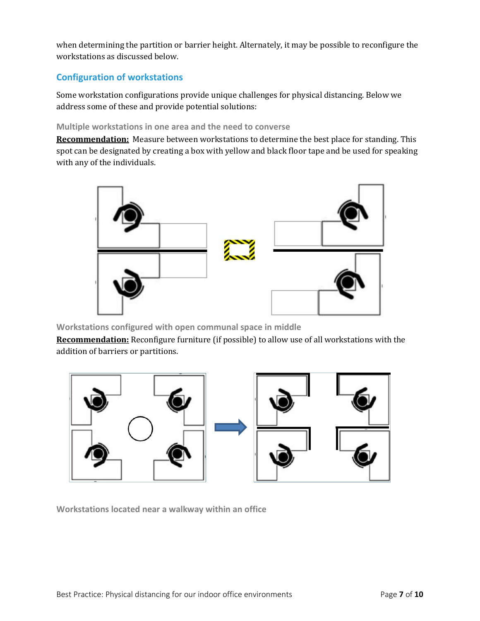when determining the partition or barrier height. Alternately, it may be possible to reconfigure the workstations as discussed below.

#### **Configuration of workstations**

Some workstation configurations provide unique challenges for physical distancing. Below we address some of these and provide potential solutions:

#### **Multiple workstations in one area and the need to converse**

**Recommendation:** Measure between workstations to determine the best place for standing. This spot can be designated by creating a box with yellow and black floor tape and be used for speaking with any of the individuals.



**Workstations configured with open communal space in middle**

**Recommendation:** Reconfigure furniture (if possible) to allow use of all workstations with the addition of barriers or partitions.



**Workstations located near a walkway within an office**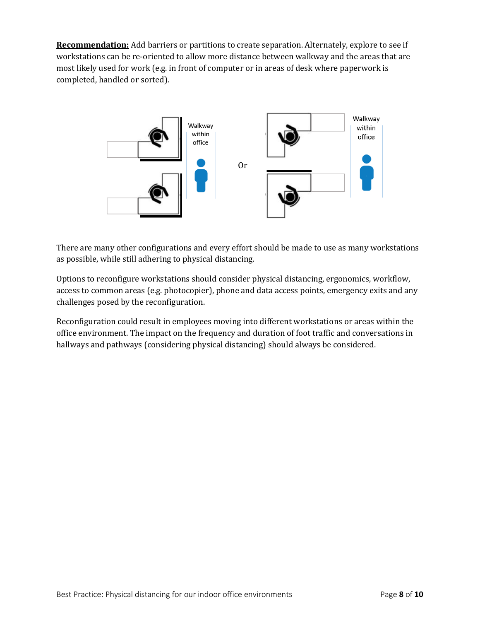**Recommendation:** Add barriers or partitions to create separation. Alternately, explore to see if workstations can be re-oriented to allow more distance between walkway and the areas that are most likely used for work (e.g. in front of computer or in areas of desk where paperwork is completed, handled or sorted).



There are many other configurations and every effort should be made to use as many workstations as possible, while still adhering to physical distancing.

Options to reconfigure workstations should consider physical distancing, ergonomics, workflow, access to common areas (e.g. photocopier), phone and data access points, emergency exits and any challenges posed by the reconfiguration.

Reconfiguration could result in employees moving into different workstations or areas within the office environment. The impact on the frequency and duration of foot traffic and conversations in hallways and pathways (considering physical distancing) should always be considered.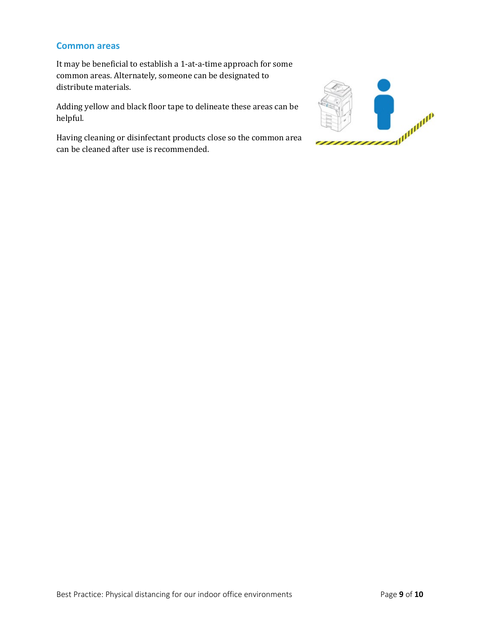#### **Common areas**

It may be beneficial to establish a 1-at-a-time approach for some common areas. Alternately, someone can be designated to distribute materials.

Adding yellow and black floor tape to delineate these areas can be helpful.

Having cleaning or disinfectant products close so the common area can be cleaned after use is recommended.